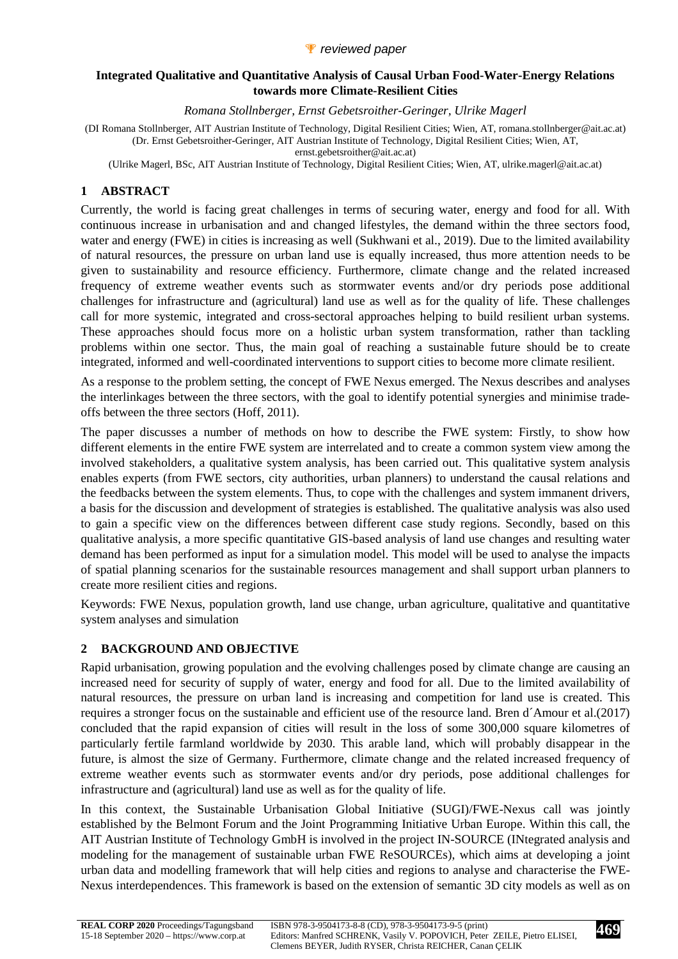### *P* reviewed paper

#### **Integrated Qualitative and Quantitative Analysis of Causal Urban Food-Water-Energy Relations towards more Climate-Resilient Cities**

*Romana Stollnberger, Ernst Gebetsroither-Geringer, Ulrike Magerl* 

(DI Romana Stollnberger, AIT Austrian Institute of Technology, Digital Resilient Cities; Wien, AT, romana.stollnberger@ait.ac.at) (Dr. Ernst Gebetsroither-Geringer, AIT Austrian Institute of Technology, Digital Resilient Cities; Wien, AT, ernst.gebetsroither@ait.ac.at)

(Ulrike Magerl, BSc, AIT Austrian Institute of Technology, Digital Resilient Cities; Wien, AT, ulrike.magerl@ait.ac.at)

# **1 ABSTRACT**

Currently, the world is facing great challenges in terms of securing water, energy and food for all. With continuous increase in urbanisation and and changed lifestyles, the demand within the three sectors food, water and energy (FWE) in cities is increasing as well (Sukhwani et al., 2019). Due to the limited availability of natural resources, the pressure on urban land use is equally increased, thus more attention needs to be given to sustainability and resource efficiency. Furthermore, climate change and the related increased frequency of extreme weather events such as stormwater events and/or dry periods pose additional challenges for infrastructure and (agricultural) land use as well as for the quality of life. These challenges call for more systemic, integrated and cross-sectoral approaches helping to build resilient urban systems. These approaches should focus more on a holistic urban system transformation, rather than tackling problems within one sector. Thus, the main goal of reaching a sustainable future should be to create integrated, informed and well-coordinated interventions to support cities to become more climate resilient.

As a response to the problem setting, the concept of FWE Nexus emerged. The Nexus describes and analyses the interlinkages between the three sectors, with the goal to identify potential synergies and minimise tradeoffs between the three sectors (Hoff, 2011).

The paper discusses a number of methods on how to describe the FWE system: Firstly, to show how different elements in the entire FWE system are interrelated and to create a common system view among the involved stakeholders, a qualitative system analysis, has been carried out. This qualitative system analysis enables experts (from FWE sectors, city authorities, urban planners) to understand the causal relations and the feedbacks between the system elements. Thus, to cope with the challenges and system immanent drivers, a basis for the discussion and development of strategies is established. The qualitative analysis was also used to gain a specific view on the differences between different case study regions. Secondly, based on this qualitative analysis, a more specific quantitative GIS-based analysis of land use changes and resulting water demand has been performed as input for a simulation model. This model will be used to analyse the impacts of spatial planning scenarios for the sustainable resources management and shall support urban planners to create more resilient cities and regions.

Keywords: FWE Nexus, population growth, land use change, urban agriculture, qualitative and quantitative system analyses and simulation

# **2 BACKGROUND AND OBJECTIVE**

Rapid urbanisation, growing population and the evolving challenges posed by climate change are causing an increased need for security of supply of water, energy and food for all. Due to the limited availability of natural resources, the pressure on urban land is increasing and competition for land use is created. This requires a stronger focus on the sustainable and efficient use of the resource land. Bren d´Amour et al.(2017) concluded that the rapid expansion of cities will result in the loss of some 300,000 square kilometres of particularly fertile farmland worldwide by 2030. This arable land, which will probably disappear in the future, is almost the size of Germany. Furthermore, climate change and the related increased frequency of extreme weather events such as stormwater events and/or dry periods, pose additional challenges for infrastructure and (agricultural) land use as well as for the quality of life.

In this context, the Sustainable Urbanisation Global Initiative (SUGI)/FWE-Nexus call was jointly established by the Belmont Forum and the Joint Programming Initiative Urban Europe. Within this call, the AIT Austrian Institute of Technology GmbH is involved in the project IN-SOURCE (INtegrated analysis and modeling for the management of sustainable urban FWE ReSOURCEs), which aims at developing a joint urban data and modelling framework that will help cities and regions to analyse and characterise the FWE-Nexus interdependences. This framework is based on the extension of semantic 3D city models as well as on

**469**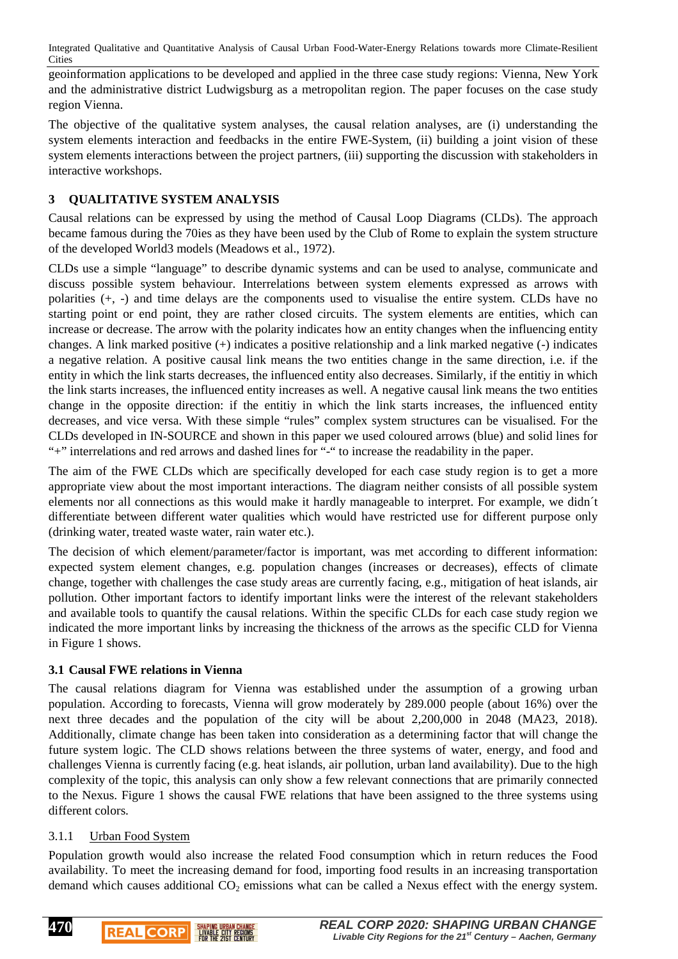geoinformation applications to be developed and applied in the three case study regions: Vienna, New York and the administrative district Ludwigsburg as a metropolitan region. The paper focuses on the case study region Vienna.

The objective of the qualitative system analyses, the causal relation analyses, are (i) understanding the system elements interaction and feedbacks in the entire FWE-System, (ii) building a joint vision of these system elements interactions between the project partners, (iii) supporting the discussion with stakeholders in interactive workshops.

# **3 QUALITATIVE SYSTEM ANALYSIS**

Causal relations can be expressed by using the method of Causal Loop Diagrams (CLDs). The approach became famous during the 70ies as they have been used by the Club of Rome to explain the system structure of the developed World3 models (Meadows et al., 1972).

CLDs use a simple "language" to describe dynamic systems and can be used to analyse, communicate and discuss possible system behaviour. Interrelations between system elements expressed as arrows with polarities (+, -) and time delays are the components used to visualise the entire system. CLDs have no starting point or end point, they are rather closed circuits. The system elements are entities, which can increase or decrease. The arrow with the polarity indicates how an entity changes when the influencing entity changes. A link marked positive (+) indicates a positive relationship and a link marked negative (-) indicates a negative relation. A positive causal link means the two entities change in the same direction, i.e. if the entity in which the link starts decreases, the influenced entity also decreases. Similarly, if the entitiy in which the link starts increases, the influenced entity increases as well. A negative causal link means the two entities change in the opposite direction: if the entitiy in which the link starts increases, the influenced entity decreases, and vice versa. With these simple "rules" complex system structures can be visualised. For the CLDs developed in IN-SOURCE and shown in this paper we used coloured arrows (blue) and solid lines for "+" interrelations and red arrows and dashed lines for "-" to increase the readability in the paper.

The aim of the FWE CLDs which are specifically developed for each case study region is to get a more appropriate view about the most important interactions. The diagram neither consists of all possible system elements nor all connections as this would make it hardly manageable to interpret. For example, we didn´t differentiate between different water qualities which would have restricted use for different purpose only (drinking water, treated waste water, rain water etc.).

The decision of which element/parameter/factor is important, was met according to different information: expected system element changes, e.g. population changes (increases or decreases), effects of climate change, together with challenges the case study areas are currently facing, e.g., mitigation of heat islands, air pollution. Other important factors to identify important links were the interest of the relevant stakeholders and available tools to quantify the causal relations. Within the specific CLDs for each case study region we indicated the more important links by increasing the thickness of the arrows as the specific CLD for Vienna in Figure 1 shows.

# **3.1 Causal FWE relations in Vienna**

The causal relations diagram for Vienna was established under the assumption of a growing urban population. According to forecasts, Vienna will grow moderately by 289.000 people (about 16%) over the next three decades and the population of the city will be about 2,200,000 in 2048 (MA23, 2018). Additionally, climate change has been taken into consideration as a determining factor that will change the future system logic. The CLD shows relations between the three systems of water, energy, and food and challenges Vienna is currently facing (e.g. heat islands, air pollution, urban land availability). Due to the high complexity of the topic, this analysis can only show a few relevant connections that are primarily connected to the Nexus. Figure 1 shows the causal FWE relations that have been assigned to the three systems using different colors.

# 3.1.1 Urban Food System

Population growth would also increase the related Food consumption which in return reduces the Food availability. To meet the increasing demand for food, importing food results in an increasing transportation demand which causes additional  $CO<sub>2</sub>$  emissions what can be called a Nexus effect with the energy system.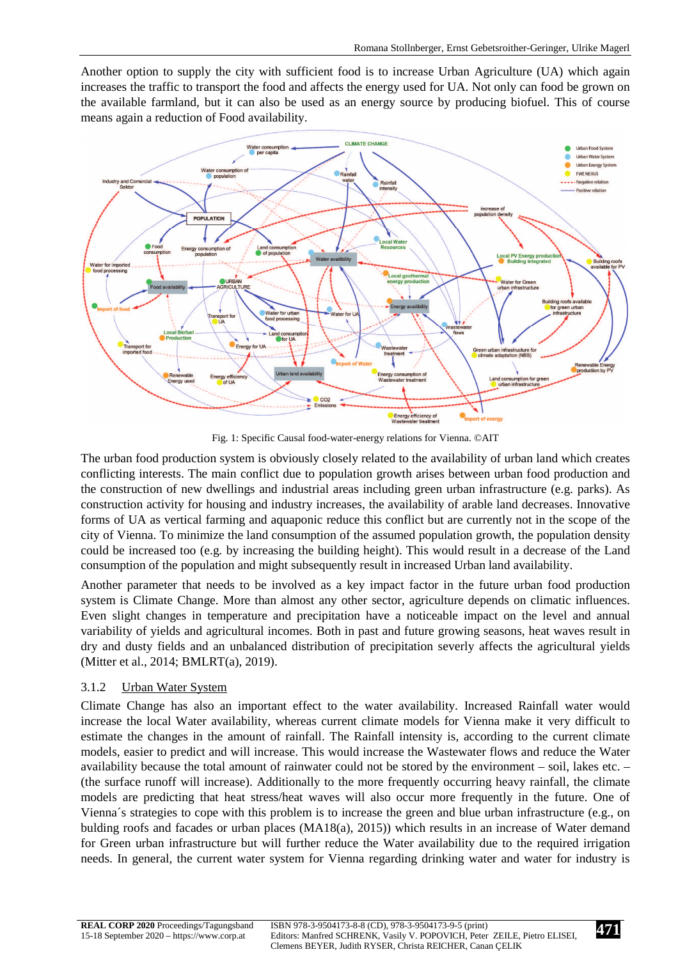Another option to supply the city with sufficient food is to increase Urban Agriculture (UA) which again increases the traffic to transport the food and affects the energy used for UA. Not only can food be grown on the available farmland, but it can also be used as an energy source by producing biofuel. This of course means again a reduction of Food availability.



Fig. 1: Specific Causal food-water-energy relations for Vienna. ©AIT

The urban food production system is obviously closely related to the availability of urban land which creates conflicting interests. The main conflict due to population growth arises between urban food production and the construction of new dwellings and industrial areas including green urban infrastructure (e.g. parks). As construction activity for housing and industry increases, the availability of arable land decreases. Innovative forms of UA as vertical farming and aquaponic reduce this conflict but are currently not in the scope of the city of Vienna. To minimize the land consumption of the assumed population growth, the population density could be increased too (e.g. by increasing the building height). This would result in a decrease of the Land consumption of the population and might subsequently result in increased Urban land availability.

Another parameter that needs to be involved as a key impact factor in the future urban food production system is Climate Change. More than almost any other sector, agriculture depends on climatic influences. Even slight changes in temperature and precipitation have a noticeable impact on the level and annual variability of yields and agricultural incomes. Both in past and future growing seasons, heat waves result in dry and dusty fields and an unbalanced distribution of precipitation severly affects the agricultural yields (Mitter et al., 2014; BMLRT(a), 2019).

# 3.1.2 Urban Water System

Climate Change has also an important effect to the water availability. Increased Rainfall water would increase the local Water availability, whereas current climate models for Vienna make it very difficult to estimate the changes in the amount of rainfall. The Rainfall intensity is, according to the current climate models, easier to predict and will increase. This would increase the Wastewater flows and reduce the Water availability because the total amount of rainwater could not be stored by the environment – soil, lakes etc. – (the surface runoff will increase). Additionally to the more frequently occurring heavy rainfall, the climate models are predicting that heat stress/heat waves will also occur more frequently in the future. One of Vienna´s strategies to cope with this problem is to increase the green and blue urban infrastructure (e.g., on bulding roofs and facades or urban places (MA18(a), 2015)) which results in an increase of Water demand for Green urban infrastructure but will further reduce the Water availability due to the required irrigation needs. In general, the current water system for Vienna regarding drinking water and water for industry is

**471**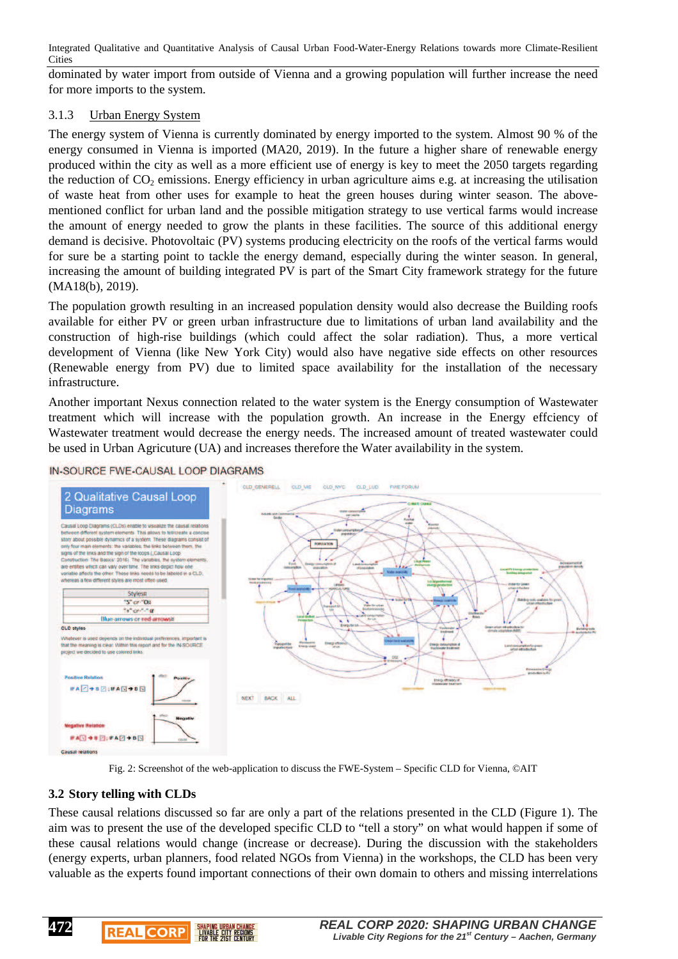dominated by water import from outside of Vienna and a growing population will further increase the need for more imports to the system.

#### 3.1.3 Urban Energy System

The energy system of Vienna is currently dominated by energy imported to the system. Almost 90 % of the energy consumed in Vienna is imported (MA20, 2019). In the future a higher share of renewable energy produced within the city as well as a more efficient use of energy is key to meet the 2050 targets regarding the reduction of  $CO_2$  emissions. Energy efficiency in urban agriculture aims e.g. at increasing the utilisation of waste heat from other uses for example to heat the green houses during winter season. The abovementioned conflict for urban land and the possible mitigation strategy to use vertical farms would increase the amount of energy needed to grow the plants in these facilities. The source of this additional energy demand is decisive. Photovoltaic (PV) systems producing electricity on the roofs of the vertical farms would for sure be a starting point to tackle the energy demand, especially during the winter season. In general, increasing the amount of building integrated PV is part of the Smart City framework strategy for the future (MA18(b), 2019).

The population growth resulting in an increased population density would also decrease the Building roofs available for either PV or green urban infrastructure due to limitations of urban land availability and the construction of high-rise buildings (which could affect the solar radiation). Thus, a more vertical development of Vienna (like New York City) would also have negative side effects on other resources (Renewable energy from PV) due to limited space availability for the installation of the necessary infrastructure.

Another important Nexus connection related to the water system is the Energy consumption of Wastewater treatment which will increase with the population growth. An increase in the Energy effciency of Wastewater treatment would decrease the energy needs. The increased amount of treated wastewater could be used in Urban Agricuture (UA) and increases therefore the Water availability in the system.



IN-SOURCE FWE-CAUSAL LOOP DIAGRAMS



#### **3.2 Story telling with CLDs**

**REAL CORP** 

**LIVABLE CITY REGIONS** 

**472**

These causal relations discussed so far are only a part of the relations presented in the CLD (Figure 1). The aim was to present the use of the developed specific CLD to "tell a story" on what would happen if some of these causal relations would change (increase or decrease). During the discussion with the stakeholders (energy experts, urban planners, food related NGOs from Vienna) in the workshops, the CLD has been very valuable as the experts found important connections of their own domain to others and missing interrelations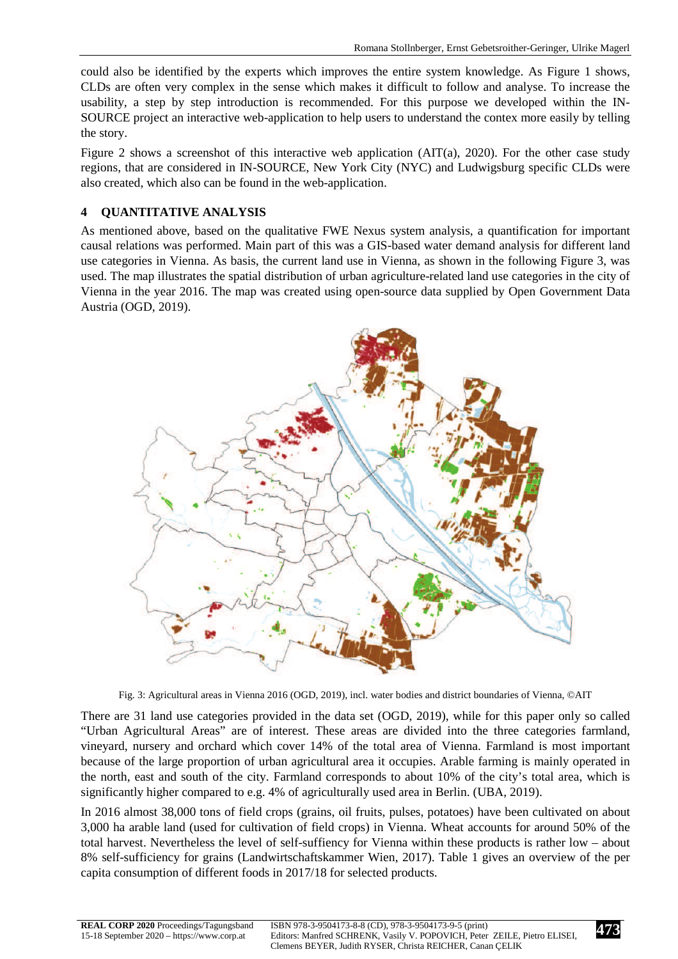could also be identified by the experts which improves the entire system knowledge. As Figure 1 shows, CLDs are often very complex in the sense which makes it difficult to follow and analyse. To increase the usability, a step by step introduction is recommended. For this purpose we developed within the IN-SOURCE project an interactive web-application to help users to understand the contex more easily by telling the story.

Figure 2 shows a screenshot of this interactive web application (AIT(a), 2020). For the other case study regions, that are considered in IN-SOURCE, New York City (NYC) and Ludwigsburg specific CLDs were also created, which also can be found in the web-application.

# **4 QUANTITATIVE ANALYSIS**

As mentioned above, based on the qualitative FWE Nexus system analysis, a quantification for important causal relations was performed. Main part of this was a GIS-based water demand analysis for different land use categories in Vienna. As basis, the current land use in Vienna, as shown in the following Figure 3, was used. The map illustrates the spatial distribution of urban agriculture-related land use categories in the city of Vienna in the year 2016. The map was created using open-source data supplied by Open Government Data Austria (OGD, 2019).



Fig. 3: Agricultural areas in Vienna 2016 (OGD, 2019), incl. water bodies and district boundaries of Vienna, ©AIT

There are 31 land use categories provided in the data set (OGD, 2019), while for this paper only so called "Urban Agricultural Areas" are of interest. These areas are divided into the three categories farmland, vineyard, nursery and orchard which cover 14% of the total area of Vienna. Farmland is most important because of the large proportion of urban agricultural area it occupies. Arable farming is mainly operated in the north, east and south of the city. Farmland corresponds to about 10% of the city's total area, which is significantly higher compared to e.g. 4% of agriculturally used area in Berlin. (UBA, 2019).

In 2016 almost 38,000 tons of field crops (grains, oil fruits, pulses, potatoes) have been cultivated on about 3,000 ha arable land (used for cultivation of field crops) in Vienna. Wheat accounts for around 50% of the total harvest. Nevertheless the level of self-suffiency for Vienna within these products is rather low – about 8% self-sufficiency for grains (Landwirtschaftskammer Wien, 2017). Table 1 gives an overview of the per capita consumption of different foods in 2017/18 for selected products.

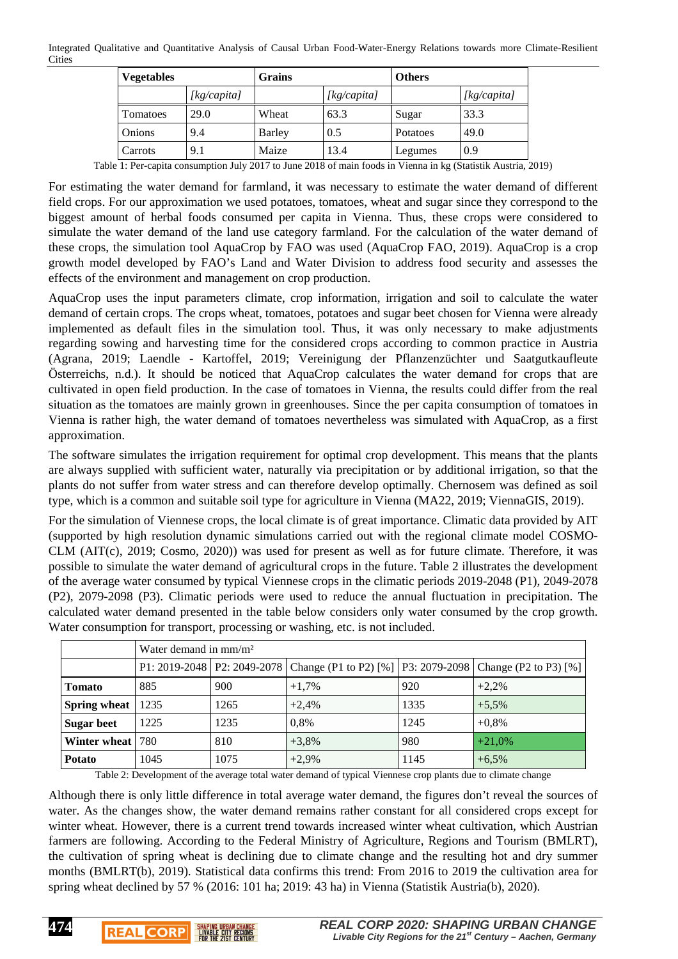| <b>Vegetables</b> |             | Grains |             | <b>Others</b> |             |
|-------------------|-------------|--------|-------------|---------------|-------------|
|                   | [kg/capita] |        | [kg/capita] |               | [kg/capita] |
| Tomatoes          | 29.0        | Wheat  | 63.3        | Sugar         | 33.3        |
| Onions            | 9.4         | Barley | 0.5         | Potatoes      | 49.0        |
| Carrots           | 9.1         | Maize  | 13.4        | Legumes       | 0.9         |

Table 1: Per-capita consumption July 2017 to June 2018 of main foods in Vienna in kg (Statistik Austria, 2019)

For estimating the water demand for farmland, it was necessary to estimate the water demand of different field crops. For our approximation we used potatoes, tomatoes, wheat and sugar since they correspond to the biggest amount of herbal foods consumed per capita in Vienna. Thus, these crops were considered to simulate the water demand of the land use category farmland. For the calculation of the water demand of these crops, the simulation tool AquaCrop by FAO was used (AquaCrop FAO, 2019). AquaCrop is a crop growth model developed by FAO's Land and Water Division to address food security and assesses the effects of the environment and management on crop production.

AquaCrop uses the input parameters climate, crop information, irrigation and soil to calculate the water demand of certain crops. The crops wheat, tomatoes, potatoes and sugar beet chosen for Vienna were already implemented as default files in the simulation tool. Thus, it was only necessary to make adjustments regarding sowing and harvesting time for the considered crops according to common practice in Austria (Agrana, 2019; Laendle - Kartoffel, 2019; Vereinigung der Pflanzenzüchter und Saatgutkaufleute Österreichs, n.d.). It should be noticed that AquaCrop calculates the water demand for crops that are cultivated in open field production. In the case of tomatoes in Vienna, the results could differ from the real situation as the tomatoes are mainly grown in greenhouses. Since the per capita consumption of tomatoes in Vienna is rather high, the water demand of tomatoes nevertheless was simulated with AquaCrop, as a first approximation.

The software simulates the irrigation requirement for optimal crop development. This means that the plants are always supplied with sufficient water, naturally via precipitation or by additional irrigation, so that the plants do not suffer from water stress and can therefore develop optimally. Chernosem was defined as soil type, which is a common and suitable soil type for agriculture in Vienna (MA22, 2019; ViennaGIS, 2019).

For the simulation of Viennese crops, the local climate is of great importance. Climatic data provided by AIT (supported by high resolution dynamic simulations carried out with the regional climate model COSMO-CLM (AIT(c), 2019; Cosmo, 2020)) was used for present as well as for future climate. Therefore, it was possible to simulate the water demand of agricultural crops in the future. Table 2 illustrates the development of the average water consumed by typical Viennese crops in the climatic periods 2019-2048 (P1), 2049-2078 (P2), 2079-2098 (P3). Climatic periods were used to reduce the annual fluctuation in precipitation. The calculated water demand presented in the table below considers only water consumed by the crop growth. Water consumption for transport, processing or washing, etc. is not included.

|                     | Water demand in $mm/m2$ |      |          |      |                                                                                               |  |  |  |
|---------------------|-------------------------|------|----------|------|-----------------------------------------------------------------------------------------------|--|--|--|
|                     |                         |      |          |      | P1: 2019-2048   P2: 2049-2078   Change (P1 to P2) [%]   P3: 2079-2098   Change (P2 to P3) [%] |  |  |  |
| <b>Tomato</b>       | 885                     | 900  | $+1.7\%$ | 920  | $+2.2%$                                                                                       |  |  |  |
| <b>Spring wheat</b> | 1235                    | 1265 | $+2.4%$  | 1335 | $+5.5\%$                                                                                      |  |  |  |
| <b>Sugar beet</b>   | 1225                    | 1235 | 0,8%     | 1245 | $+0.8\%$                                                                                      |  |  |  |
| Winter wheat   780  |                         | 810  | $+3,8%$  | 980  | $+21,0%$                                                                                      |  |  |  |
| <b>Potato</b>       | 1045                    | 1075 | $+2,9%$  | 1145 | $+6,5%$                                                                                       |  |  |  |

Table 2: Development of the average total water demand of typical Viennese crop plants due to climate change

Although there is only little difference in total average water demand, the figures don't reveal the sources of water. As the changes show, the water demand remains rather constant for all considered crops except for winter wheat. However, there is a current trend towards increased winter wheat cultivation, which Austrian farmers are following. According to the Federal Ministry of Agriculture, Regions and Tourism (BMLRT), the cultivation of spring wheat is declining due to climate change and the resulting hot and dry summer months (BMLRT(b), 2019). Statistical data confirms this trend: From 2016 to 2019 the cultivation area for spring wheat declined by 57 % (2016: 101 ha; 2019: 43 ha) in Vienna (Statistik Austria(b), 2020).

**474**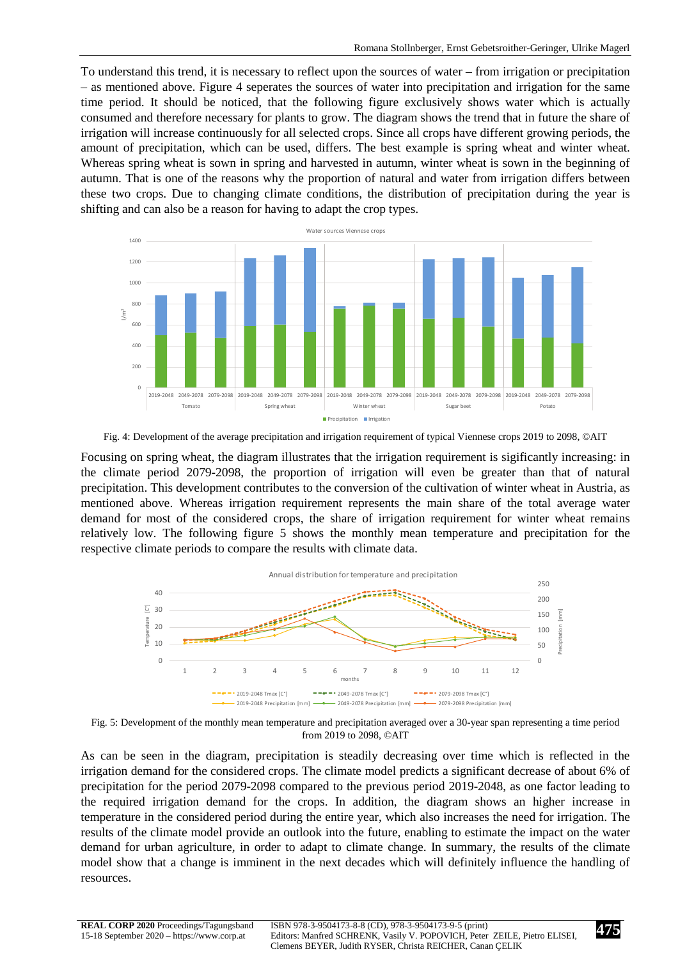To understand this trend, it is necessary to reflect upon the sources of water – from irrigation or precipitation – as mentioned above. Figure 4 seperates the sources of water into precipitation and irrigation for the same time period. It should be noticed, that the following figure exclusively shows water which is actually consumed and therefore necessary for plants to grow. The diagram shows the trend that in future the share of irrigation will increase continuously for all selected crops. Since all crops have different growing periods, the amount of precipitation, which can be used, differs. The best example is spring wheat and winter wheat. Whereas spring wheat is sown in spring and harvested in autumn, winter wheat is sown in the beginning of autumn. That is one of the reasons why the proportion of natural and water from irrigation differs between these two crops. Due to changing climate conditions, the distribution of precipitation during the year is shifting and can also be a reason for having to adapt the crop types.





Focusing on spring wheat, the diagram illustrates that the irrigation requirement is sigificantly increasing: in the climate period 2079-2098, the proportion of irrigation will even be greater than that of natural precipitation. This development contributes to the conversion of the cultivation of winter wheat in Austria, as mentioned above. Whereas irrigation requirement represents the main share of the total average water demand for most of the considered crops, the share of irrigation requirement for winter wheat remains relatively low. The following figure 5 shows the monthly mean temperature and precipitation for the respective climate periods to compare the results with climate data.



Fig. 5: Development of the monthly mean temperature and precipitation averaged over a 30-year span representing a time period from 2019 to 2098, ©AIT

As can be seen in the diagram, precipitation is steadily decreasing over time which is reflected in the irrigation demand for the considered crops. The climate model predicts a significant decrease of about 6% of precipitation for the period 2079-2098 compared to the previous period 2019-2048, as one factor leading to the required irrigation demand for the crops. In addition, the diagram shows an higher increase in temperature in the considered period during the entire year, which also increases the need for irrigation. The results of the climate model provide an outlook into the future, enabling to estimate the impact on the water demand for urban agriculture, in order to adapt to climate change. In summary, the results of the climate model show that a change is imminent in the next decades which will definitely influence the handling of resources.

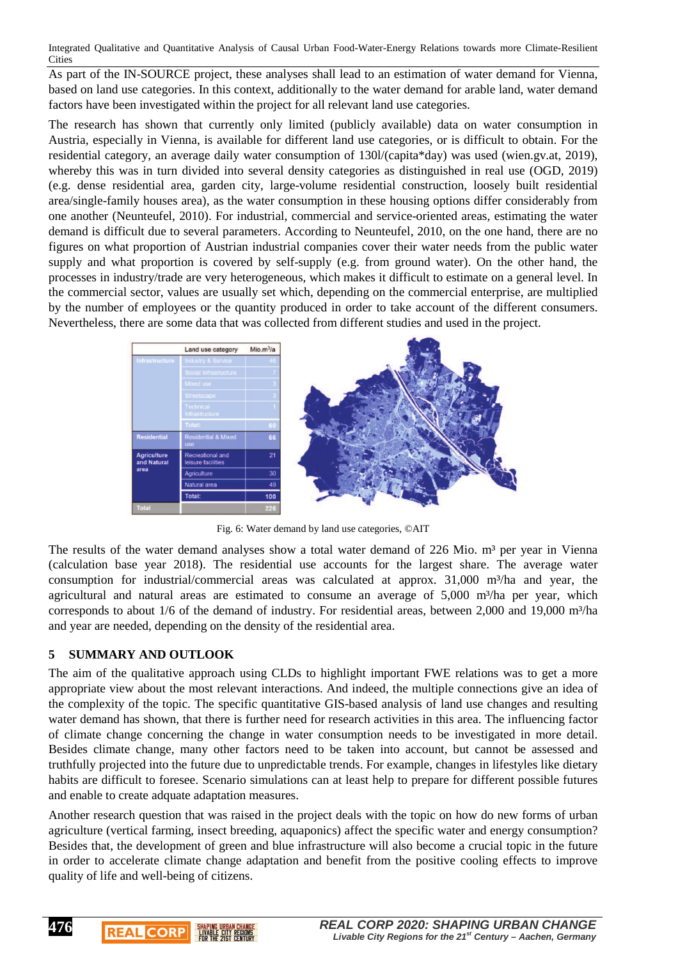As part of the IN-SOURCE project, these analyses shall lead to an estimation of water demand for Vienna, based on land use categories. In this context, additionally to the water demand for arable land, water demand factors have been investigated within the project for all relevant land use categories.

The research has shown that currently only limited (publicly available) data on water consumption in Austria, especially in Vienna, is available for different land use categories, or is difficult to obtain. For the residential category, an average daily water consumption of 130l/(capita\*day) was used (wien.gv.at, 2019), whereby this was in turn divided into several density categories as distinguished in real use (OGD, 2019) (e.g. dense residential area, garden city, large-volume residential construction, loosely built residential area/single-family houses area), as the water consumption in these housing options differ considerably from one another (Neunteufel, 2010). For industrial, commercial and service-oriented areas, estimating the water demand is difficult due to several parameters. According to Neunteufel, 2010, on the one hand, there are no figures on what proportion of Austrian industrial companies cover their water needs from the public water supply and what proportion is covered by self-supply (e.g. from ground water). On the other hand, the processes in industry/trade are very heterogeneous, which makes it difficult to estimate on a general level. In the commercial sector, values are usually set which, depending on the commercial enterprise, are multiplied by the number of employees or the quantity produced in order to take account of the different consumers. Nevertheless, there are some data that was collected from different studies and used in the project.



Fig. 6: Water demand by land use categories, ©AIT

The results of the water demand analyses show a total water demand of 226 Mio.  $m<sup>3</sup>$  per year in Vienna (calculation base year 2018). The residential use accounts for the largest share. The average water consumption for industrial/commercial areas was calculated at approx.  $31,000$  m<sup>3</sup>/ha and year, the agricultural and natural areas are estimated to consume an average of  $5,000$  m $\frac{3}{h}$ a per year, which corresponds to about 1/6 of the demand of industry. For residential areas, between 2,000 and 19,000 m<sup>3</sup>/ha and year are needed, depending on the density of the residential area.

# **5 SUMMARY AND OUTLOOK**

**REAL CORP** 

**EIVABLE CITY REGIONS** 

**476**

The aim of the qualitative approach using CLDs to highlight important FWE relations was to get a more appropriate view about the most relevant interactions. And indeed, the multiple connections give an idea of the complexity of the topic. The specific quantitative GIS-based analysis of land use changes and resulting water demand has shown, that there is further need for research activities in this area. The influencing factor of climate change concerning the change in water consumption needs to be investigated in more detail. Besides climate change, many other factors need to be taken into account, but cannot be assessed and truthfully projected into the future due to unpredictable trends. For example, changes in lifestyles like dietary habits are difficult to foresee. Scenario simulations can at least help to prepare for different possible futures and enable to create adquate adaptation measures.

Another research question that was raised in the project deals with the topic on how do new forms of urban agriculture (vertical farming, insect breeding, aquaponics) affect the specific water and energy consumption? Besides that, the development of green and blue infrastructure will also become a crucial topic in the future in order to accelerate climate change adaptation and benefit from the positive cooling effects to improve quality of life and well-being of citizens.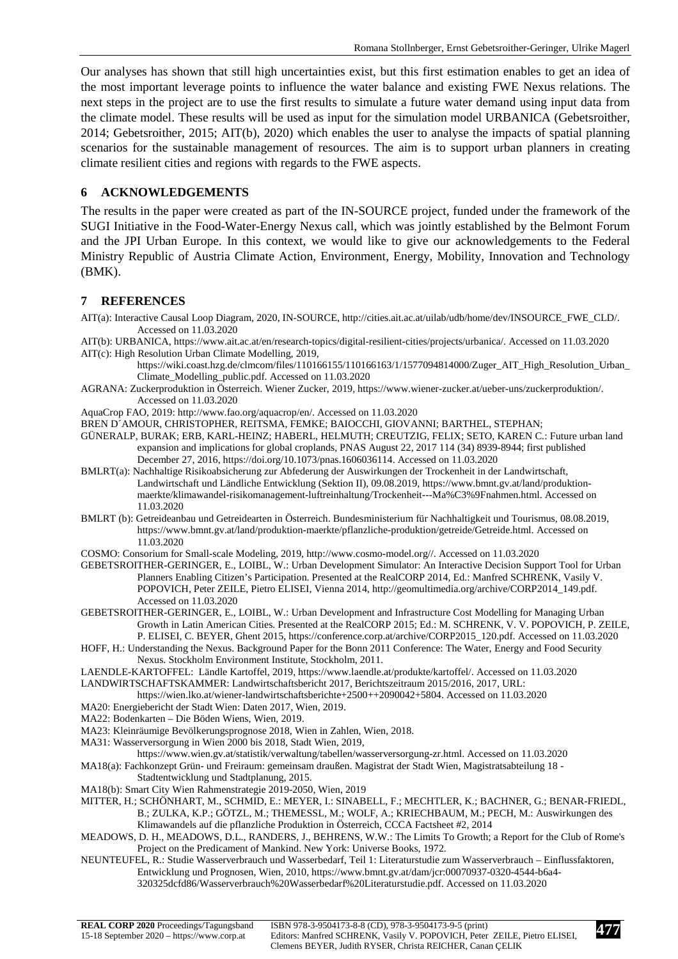Our analyses has shown that still high uncertainties exist, but this first estimation enables to get an idea of the most important leverage points to influence the water balance and existing FWE Nexus relations. The next steps in the project are to use the first results to simulate a future water demand using input data from the climate model. These results will be used as input for the simulation model URBANICA (Gebetsroither, 2014; Gebetsroither, 2015; AIT(b), 2020) which enables the user to analyse the impacts of spatial planning scenarios for the sustainable management of resources. The aim is to support urban planners in creating climate resilient cities and regions with regards to the FWE aspects.

#### **6 ACKNOWLEDGEMENTS**

The results in the paper were created as part of the IN-SOURCE project, funded under the framework of the SUGI Initiative in the Food-Water-Energy Nexus call, which was jointly established by the Belmont Forum and the JPI Urban Europe. In this context, we would like to give our acknowledgements to the Federal Ministry Republic of Austria Climate Action, Environment, Energy, Mobility, Innovation and Technology (BMK).

#### **7 REFERENCES**

AIT(a): Interactive Causal Loop Diagram, 2020, IN-SOURCE, http://cities.ait.ac.at/uilab/udb/home/dev/INSOURCE\_FWE\_CLD/. Accessed on 11.03.2020

AIT(b): URBANICA, https://www.ait.ac.at/en/research-topics/digital-resilient-cities/projects/urbanica/. Accessed on 11.03.2020 AIT(c): High Resolution Urban Climate Modelling, 2019,

- https://wiki.coast.hzg.de/clmcom/files/110166155/110166163/1/1577094814000/Zuger\_AIT\_High\_Resolution\_Urban\_ Climate\_Modelling\_public.pdf. Accessed on 11.03.2020
- AGRANA: Zuckerproduktion in Österreich. Wiener Zucker, 2019, https://www.wiener-zucker.at/ueber-uns/zuckerproduktion/. Accessed on 11.03.2020
- AquaCrop FAO, 2019: http://www.fao.org/aquacrop/en/. Accessed on 11.03.2020
- BREN D´AMOUR, CHRISTOPHER, REITSMA, FEMKE; BAIOCCHI, GIOVANNI; BARTHEL, STEPHAN;
- GÜNERALP, BURAK; ERB, KARL-HEINZ; HABERL, HELMUTH; CREUTZIG, FELIX; SETO, KAREN C.: Future urban land expansion and implications for global croplands, PNAS August 22, 2017 114 (34) 8939-8944; first published December 27, 2016, https://doi.org/10.1073/pnas.1606036114. Accessed on 11.03.2020
- BMLRT(a): Nachhaltige Risikoabsicherung zur Abfederung der Auswirkungen der Trockenheit in der Landwirtschaft, Landwirtschaft und Ländliche Entwicklung (Sektion II), 09.08.2019, https://www.bmnt.gv.at/land/produktionmaerkte/klimawandel-risikomanagement-luftreinhaltung/Trockenheit---Ma%C3%9Fnahmen.html. Accessed on 11.03.2020
- BMLRT (b): Getreideanbau und Getreidearten in Österreich. Bundesministerium für Nachhaltigkeit und Tourismus, 08.08.2019, https://www.bmnt.gv.at/land/produktion-maerkte/pflanzliche-produktion/getreide/Getreide.html. Accessed on 11.03.2020

COSMO: Consorium for Small-scale Modeling, 2019, http://www.cosmo-model.org//. Accessed on 11.03.2020

- GEBETSROITHER-GERINGER, E., LOIBL, W.: Urban Development Simulator: An Interactive Decision Support Tool for Urban Planners Enabling Citizen's Participation. Presented at the RealCORP 2014, Ed.: Manfred SCHRENK, Vasily V. POPOVICH, Peter ZEILE, Pietro ELISEI, Vienna 2014, http://geomultimedia.org/archive/CORP2014\_149.pdf. Accessed on 11.03.2020
- GEBETSROITHER-GERINGER, E., LOIBL, W.: Urban Development and Infrastructure Cost Modelling for Managing Urban Growth in Latin American Cities. Presented at the RealCORP 2015; Ed.: M. SCHRENK, V. V. POPOVICH, P. ZEILE, P. ELISEI, C. BEYER, Ghent 2015, https://conference.corp.at/archive/CORP2015\_120.pdf. Accessed on 11.03.2020
- HOFF, H.: Understanding the Nexus. Background Paper for the Bonn 2011 Conference: The Water, Energy and Food Security Nexus. Stockholm Environment Institute, Stockholm, 2011.
- LAENDLE-KARTOFFEL: Ländle Kartoffel, 2019, https://www.laendle.at/produkte/kartoffel/. Accessed on 11.03.2020 LANDWIRTSCHAFTSKAMMER: Landwirtschaftsbericht 2017, Berichtszeitraum 2015/2016, 2017, URL:
- https://wien.lko.at/wiener-landwirtschaftsberichte+2500++2090042+5804. Accessed on 11.03.2020
- MA20: Energiebericht der Stadt Wien: Daten 2017, Wien, 2019.
- MA22: Bodenkarten Die Böden Wiens, Wien, 2019.
- MA23: Kleinräumige Bevölkerungsprognose 2018, Wien in Zahlen, Wien, 2018.
- MA31: Wasserversorgung in Wien 2000 bis 2018, Stadt Wien, 2019,

https://www.wien.gv.at/statistik/verwaltung/tabellen/wasserversorgung-zr.html. Accessed on 11.03.2020

- MA18(a): Fachkonzept Grün- und Freiraum: gemeinsam draußen. Magistrat der Stadt Wien, Magistratsabteilung 18 Stadtentwicklung und Stadtplanung, 2015.
- MA18(b): Smart City Wien Rahmenstrategie 2019-2050, Wien, 2019
- MITTER, H.; SCHÖNHART, M., SCHMID, E.: MEYER, I.: SINABELL, F.; MECHTLER, K.; BACHNER, G.; BENAR-FRIEDL, B.; ZULKA, K.P.; GÖTZL, M.; THEMESSL, M.; WOLF, A.; KRIECHBAUM, M.; PECH, M.: Auswirkungen des Klimawandels auf die pflanzliche Produktion in Österreich, CCCA Factsheet #2, 2014
- MEADOWS, D. H., MEADOWS, D.L., RANDERS, J., BEHRENS, W.W.: The Limits To Growth; a Report for the Club of Rome's Project on the Predicament of Mankind. New York: Universe Books, 1972.
- NEUNTEUFEL, R.: Studie Wasserverbrauch und Wasserbedarf, Teil 1: Literaturstudie zum Wasserverbrauch Einflussfaktoren, Entwicklung und Prognosen, Wien, 2010, https://www.bmnt.gv.at/dam/jcr:00070937-0320-4544-b6a4-
	- 320325dcfd86/Wasserverbrauch%20Wasserbedarf%20Literaturstudie.pdf. Accessed on 11.03.2020